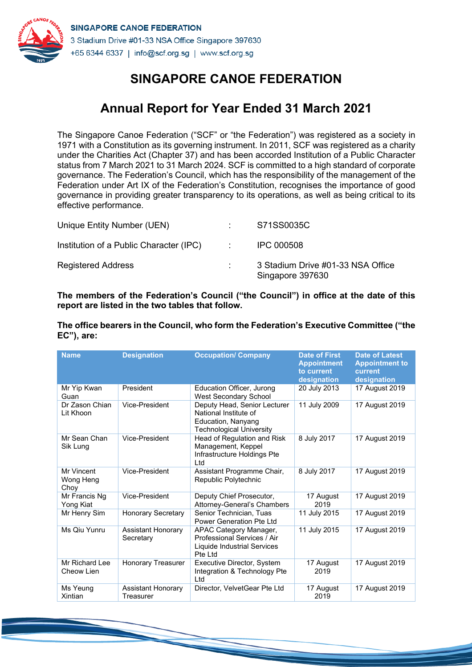

# **Annual Report for Year Ended 31 March 2021**

The Singapore Canoe Federation ("SCF" or "the Federation") was registered as a society in 1971 with a Constitution as its governing instrument. In 2011, SCF was registered as a charity under the Charities Act (Chapter 37) and has been accorded Institution of a Public Character status from 7 March 2021 to 31 March 2024. SCF is committed to a high standard of corporate governance. The Federation's Council, which has the responsibility of the management of the Federation under Art IX of the Federation's Constitution, recognises the importance of good governance in providing greater transparency to its operations, as well as being critical to its effective performance.

| Unique Entity Number (UEN)              | S71SS0035C                                            |
|-----------------------------------------|-------------------------------------------------------|
| Institution of a Public Character (IPC) | <b>IPC 000508</b>                                     |
| <b>Registered Address</b>               | 3 Stadium Drive #01-33 NSA Office<br>Singapore 397630 |

**The members of the Federation's Council ("the Council") in office at the date of this report are listed in the two tables that follow.**

**The office bearers in the Council, who form the Federation's Executive Committee ("the EC"), are:**

| <b>Name</b>                     | <b>Designation</b>                     | <b>Occupation/ Company</b>                                                                                     | <b>Date of First</b><br><b>Appointment</b><br>to current<br>designation | <b>Date of Latest</b><br><b>Appointment to</b><br>current<br>designation |
|---------------------------------|----------------------------------------|----------------------------------------------------------------------------------------------------------------|-------------------------------------------------------------------------|--------------------------------------------------------------------------|
| Mr Yip Kwan<br>Guan             | President                              | Education Officer, Jurong<br>West Secondary School                                                             | 20 July 2013                                                            | 17 August 2019                                                           |
| Dr Zason Chian<br>Lit Khoon     | Vice-President                         | Deputy Head, Senior Lecturer<br>National Institute of<br>Education, Nanyang<br><b>Technological University</b> | 11 July 2009                                                            | 17 August 2019                                                           |
| Mr Sean Chan<br>Sik Lung        | Vice-President                         | Head of Regulation and Risk<br>Management, Keppel<br>Infrastructure Holdings Pte<br>Ltd.                       | 8 July 2017                                                             | 17 August 2019                                                           |
| Mr Vincent<br>Wong Heng<br>Choy | Vice-President                         | Assistant Programme Chair,<br>Republic Polytechnic                                                             | 8 July 2017                                                             | 17 August 2019                                                           |
| Mr Francis Ng<br>Yong Kiat      | Vice-President                         | Deputy Chief Prosecutor,<br>Attorney-General's Chambers                                                        | 17 August<br>2019                                                       | 17 August 2019                                                           |
| Mr Henry Sim                    | <b>Honorary Secretary</b>              | Senior Technician, Tuas<br>Power Generation Pte Ltd                                                            | 11 July 2015                                                            | 17 August 2019                                                           |
| Ms Qiu Yunru                    | <b>Assistant Honorary</b><br>Secretary | APAC Category Manager,<br>Professional Services / Air<br>Liquide Industrial Services<br>Pte Ltd                | 11 July 2015                                                            | 17 August 2019                                                           |
| Mr Richard Lee<br>Cheow Lien    | Honorary Treasurer                     | Executive Director, System<br>Integration & Technology Pte<br>Ltd                                              | 17 August<br>2019                                                       | 17 August 2019                                                           |
| Ms Yeung<br>Xintian             | <b>Assistant Honorary</b><br>Treasurer | Director, VelvetGear Pte Ltd                                                                                   | 17 August<br>2019                                                       | 17 August 2019                                                           |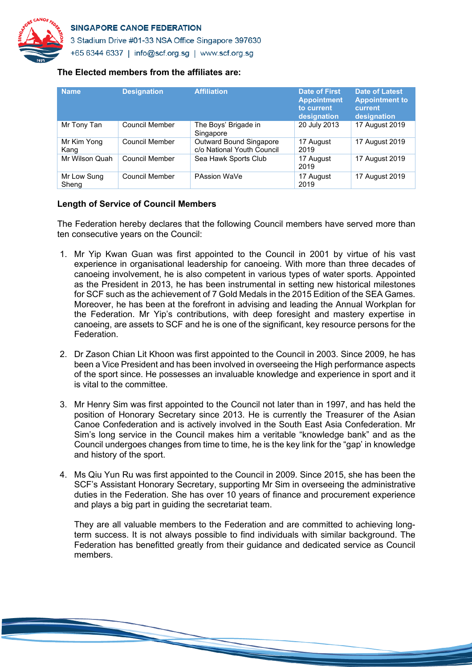

3 Stadium Drive #01-33 NSA Office Singapore 397630 +65 6344 6337 | info@scf.org.sg | www.scf.org.sg

#### **The Elected members from the affiliates are:**

| <b>Name</b>          | <b>Designation</b>    | <b>Affiliation</b>                                    | <b>Date of First</b><br><b>Appointment</b><br>to current<br>designation | <b>Date of Latest</b><br><b>Appointment to</b><br>current<br>designation |
|----------------------|-----------------------|-------------------------------------------------------|-------------------------------------------------------------------------|--------------------------------------------------------------------------|
| Mr Tony Tan          | Council Member        | The Boys' Brigade in<br>Singapore                     | 20 July 2013                                                            | 17 August 2019                                                           |
| Mr Kim Yong<br>Kang  | Council Member        | Outward Bound Singapore<br>c/o National Youth Council | 17 August<br>2019                                                       | 17 August 2019                                                           |
| Mr Wilson Quah       | <b>Council Member</b> | Sea Hawk Sports Club                                  | 17 August<br>2019                                                       | 17 August 2019                                                           |
| Mr Low Sung<br>Sheng | Council Member        | PAssion WaVe                                          | 17 August<br>2019                                                       | 17 August 2019                                                           |

#### **Length of Service of Council Members**

The Federation hereby declares that the following Council members have served more than ten consecutive years on the Council:

- 1. Mr Yip Kwan Guan was first appointed to the Council in 2001 by virtue of his vast experience in organisational leadership for canoeing. With more than three decades of canoeing involvement, he is also competent in various types of water sports. Appointed as the President in 2013, he has been instrumental in setting new historical milestones for SCF such as the achievement of 7 Gold Medals in the 2015 Edition of the SEA Games. Moreover, he has been at the forefront in advising and leading the Annual Workplan for the Federation. Mr Yip's contributions, with deep foresight and mastery expertise in canoeing, are assets to SCF and he is one of the significant, key resource persons for the **Federation**
- 2. Dr Zason Chian Lit Khoon was first appointed to the Council in 2003. Since 2009, he has been a Vice President and has been involved in overseeing the High performance aspects of the sport since. He possesses an invaluable knowledge and experience in sport and it is vital to the committee.
- 3. Mr Henry Sim was first appointed to the Council not later than in 1997, and has held the position of Honorary Secretary since 2013. He is currently the Treasurer of the Asian Canoe Confederation and is actively involved in the South East Asia Confederation. Mr Sim's long service in the Council makes him a veritable "knowledge bank" and as the Council undergoes changes from time to time, he is the key link for the "gap' in knowledge and history of the sport.
- 4. Ms Qiu Yun Ru was first appointed to the Council in 2009. Since 2015, she has been the SCF's Assistant Honorary Secretary, supporting Mr Sim in overseeing the administrative duties in the Federation. She has over 10 years of finance and procurement experience and plays a big part in guiding the secretariat team.

They are all valuable members to the Federation and are committed to achieving longterm success. It is not always possible to find individuals with similar background. The Federation has benefitted greatly from their guidance and dedicated service as Council members.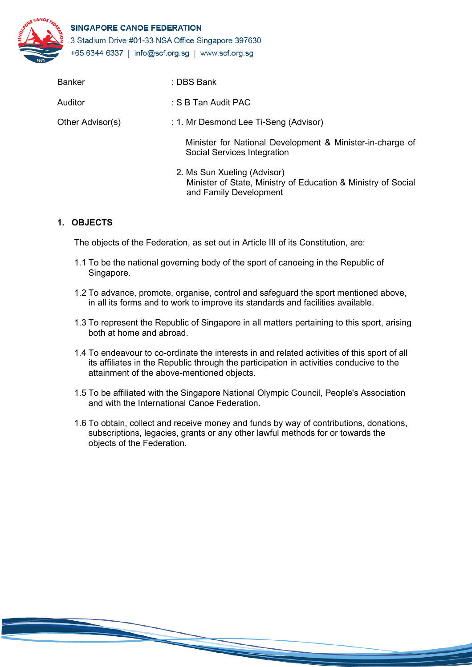

| <b>Banker</b>    | : DBS Bank                                                                                                             |
|------------------|------------------------------------------------------------------------------------------------------------------------|
| Auditor          | : S B Tan Audit PAC                                                                                                    |
| Other Advisor(s) | : 1. Mr Desmond Lee Ti-Seng (Advisor)                                                                                  |
|                  | Minister for National Development & Minister-in-charge of<br>Social Services Integration                               |
|                  | 2. Ms Sun Xueling (Advisor)<br>Minister of State, Ministry of Education & Ministry of Social<br>and Family Development |

# **1. OBJECTS**

The objects of the Federation, as set out in Article III of its Constitution, are:

- 1.1 To be the national governing body of the sport of canoeing in the Republic of Singapore.
- 1.2 To advance, promote, organise, control and safeguard the sport mentioned above, in all its forms and to work to improve its standards and facilities available.
- 1.3 To represent the Republic of Singapore in all matters pertaining to this sport, arising both at home and abroad.
- 1.4 To endeavour to co-ordinate the interests in and related activities of this sport of all its affiliates in the Republic through the participation in activities conducive to the attainment of the above-mentioned objects.
- 1.5 To be affiliated with the Singapore National Olympic Council, People's Association and with the International Canoe Federation.
- 1.6 To obtain, collect and receive money and funds by way of contributions, donations, subscriptions, legacies, grants or any other lawful methods for or towards the objects of the Federation.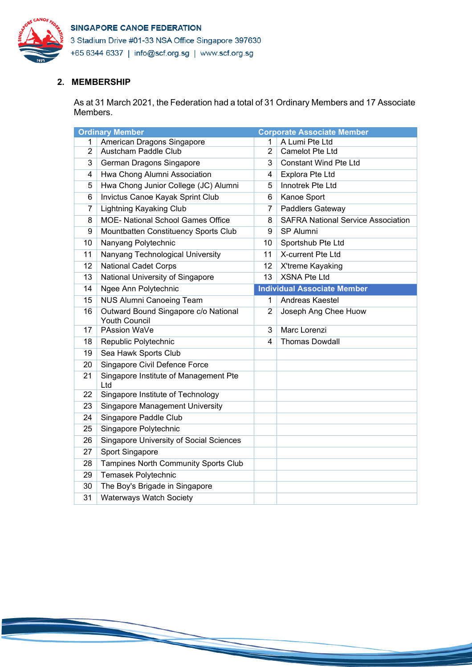

3 Stadium Drive #01-33 NSA Office Singapore 397630 +65 6344 6337 | info@scf.org.sg | www.scf.org.sg

# **2. MEMBERSHIP**

As at 31 March 2021, the Federation had a total of 31 Ordinary Members and 17 Associate Members.

|                | <b>Ordinary Member</b>                                       |                | <b>Corporate Associate Member</b>         |
|----------------|--------------------------------------------------------------|----------------|-------------------------------------------|
| 1              | American Dragons Singapore                                   | 1              | A Lumi Pte Ltd                            |
| $\overline{2}$ | Austcham Paddle Club                                         | $\overline{2}$ | <b>Camelot Pte Ltd</b>                    |
| 3              | German Dragons Singapore                                     | 3              | <b>Constant Wind Pte Ltd</b>              |
| 4              | Hwa Chong Alumni Association                                 | 4              | Explora Pte Ltd                           |
| 5              | Hwa Chong Junior College (JC) Alumni                         | 5              | Innotrek Pte Ltd                          |
| 6              | Invictus Canoe Kayak Sprint Club                             | 6              | Kanoe Sport                               |
| 7              | <b>Lightning Kayaking Club</b>                               | 7              | Paddlers Gateway                          |
| 8              | <b>MOE- National School Games Office</b>                     | 8              | <b>SAFRA National Service Association</b> |
| 9              | Mountbatten Constituency Sports Club                         | 9              | SP Alumni                                 |
| 10             | Nanyang Polytechnic                                          | 10             | Sportshub Pte Ltd                         |
| 11             | Nanyang Technological University                             | 11             | X-current Pte Ltd                         |
| 12             | <b>National Cadet Corps</b>                                  | 12             | X'treme Kayaking                          |
| 13             | National University of Singapore                             | 13             | <b>XSNA Pte Ltd</b>                       |
| 14             | Ngee Ann Polytechnic                                         |                | <b>Individual Associate Member</b>        |
| 15             | <b>NUS Alumni Canoeing Team</b>                              | 1              | Andreas Kaestel                           |
| 16             | Outward Bound Singapore c/o National<br><b>Youth Council</b> | $\overline{2}$ | Joseph Ang Chee Huow                      |
| 17             | PAssion WaVe                                                 | 3              | Marc Lorenzi                              |
| 18             | Republic Polytechnic                                         | 4              | <b>Thomas Dowdall</b>                     |
| 19             | Sea Hawk Sports Club                                         |                |                                           |
| 20             | Singapore Civil Defence Force                                |                |                                           |
| 21             | Singapore Institute of Management Pte<br>Ltd                 |                |                                           |
| 22             | Singapore Institute of Technology                            |                |                                           |
| 23             | <b>Singapore Management University</b>                       |                |                                           |
| 24             | Singapore Paddle Club                                        |                |                                           |
| 25             | Singapore Polytechnic                                        |                |                                           |
| 26             | <b>Singapore University of Social Sciences</b>               |                |                                           |
| 27             | Sport Singapore                                              |                |                                           |
| 28             | Tampines North Community Sports Club                         |                |                                           |
| 29             | Temasek Polytechnic                                          |                |                                           |
| 30             | The Boy's Brigade in Singapore                               |                |                                           |
| 31             | <b>Waterways Watch Society</b>                               |                |                                           |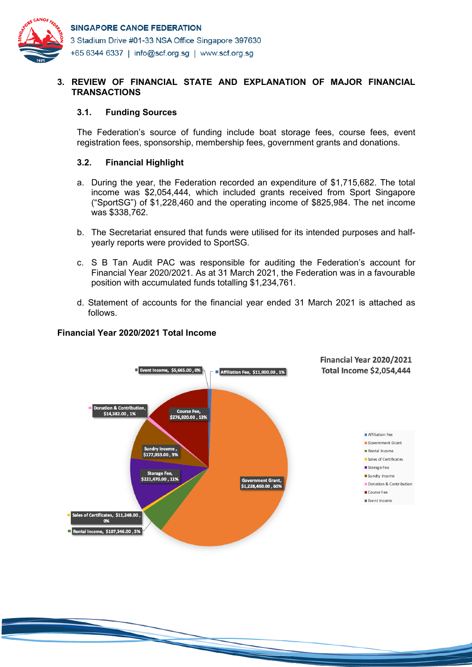

# **3. REVIEW OF FINANCIAL STATE AND EXPLANATION OF MAJOR FINANCIAL TRANSACTIONS**

## **3.1. Funding Sources**

The Federation's source of funding include boat storage fees, course fees, event registration fees, sponsorship, membership fees, government grants and donations.

# **3.2. Financial Highlight**

- a. During the year, the Federation recorded an expenditure of \$1,715,682. The total income was \$2,054,444, which included grants received from Sport Singapore ("SportSG") of \$1,228,460 and the operating income of \$825,984. The net income was \$338,762.
- b. The Secretariat ensured that funds were utilised for its intended purposes and halfyearly reports were provided to SportSG.
- c. S B Tan Audit PAC was responsible for auditing the Federation's account for Financial Year 2020/2021. As at 31 March 2021, the Federation was in a favourable position with accumulated funds totalling \$1,234,761.
- d. Statement of accounts for the financial year ended 31 March 2021 is attached as follows.

# **Financial Year 2020/2021 Total Income**

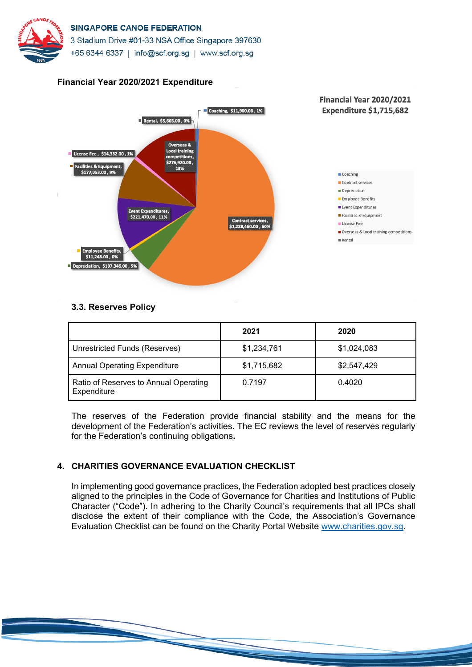



#### **Financial Year 2020/2021 Expenditure**

# **3.3. Reserves Policy**

|                                                      | 2021        | 2020        |
|------------------------------------------------------|-------------|-------------|
| Unrestricted Funds (Reserves)                        | \$1,234,761 | \$1,024,083 |
| <b>Annual Operating Expenditure</b>                  | \$1,715,682 | \$2,547,429 |
| Ratio of Reserves to Annual Operating<br>Expenditure | 0.7197      | 0.4020      |

The reserves of the Federation provide financial stability and the means for the development of the Federation's activities. The EC reviews the level of reserves regularly for the Federation's continuing obligations**.**

# **4. CHARITIES GOVERNANCE EVALUATION CHECKLIST**

In implementing good governance practices, the Federation adopted best practices closely aligned to the principles in the Code of Governance for Charities and Institutions of Public Character ("Code"). In adhering to the Charity Council's requirements that all IPCs shall disclose the extent of their compliance with the Code, the Association's Governance Evaluation Checklist can be found on the Charity Portal Website www.charities.gov.sg.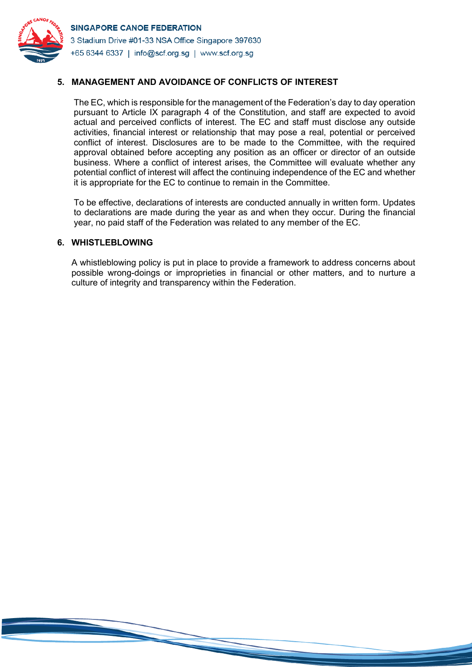

# **5. MANAGEMENT AND AVOIDANCE OF CONFLICTS OF INTEREST**

The EC, which is responsible for the management of the Federation's day to day operation pursuant to Article IX paragraph 4 of the Constitution, and staff are expected to avoid actual and perceived conflicts of interest. The EC and staff must disclose any outside activities, financial interest or relationship that may pose a real, potential or perceived conflict of interest. Disclosures are to be made to the Committee, with the required approval obtained before accepting any position as an officer or director of an outside business. Where a conflict of interest arises, the Committee will evaluate whether any potential conflict of interest will affect the continuing independence of the EC and whether it is appropriate for the EC to continue to remain in the Committee.

To be effective, declarations of interests are conducted annually in written form. Updates to declarations are made during the year as and when they occur. During the financial year, no paid staff of the Federation was related to any member of the EC.

#### **6. WHISTLEBLOWING**

A whistleblowing policy is put in place to provide a framework to address concerns about possible wrong-doings or improprieties in financial or other matters, and to nurture a culture of integrity and transparency within the Federation.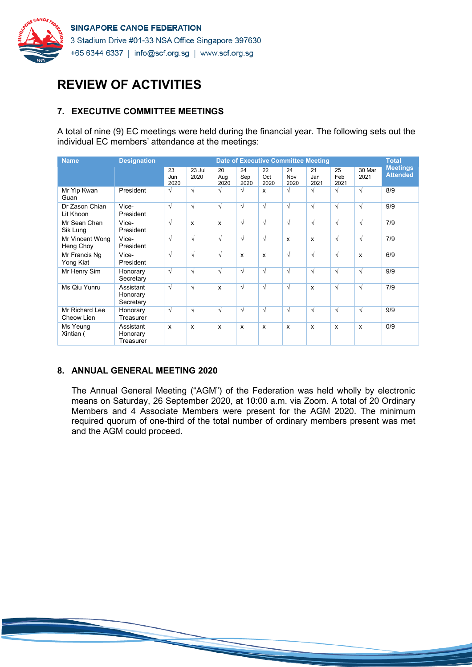

# **REVIEW OF ACTIVITIES**

# **7. EXECUTIVE COMMITTEE MEETINGS**

A total of nine (9) EC meetings were held during the financial year. The following sets out the individual EC members' attendance at the meetings:

| <b>Name</b>                  | <b>Designation</b>                 |                   |                           |                           |                   |                           | <b>Date of Executive Committee Meeting</b> |                           |                           |                | <b>Total</b>                       |
|------------------------------|------------------------------------|-------------------|---------------------------|---------------------------|-------------------|---------------------------|--------------------------------------------|---------------------------|---------------------------|----------------|------------------------------------|
|                              |                                    | 23<br>Jun<br>2020 | 23 Jul<br>2020            | 20<br>Aug<br>2020         | 24<br>Sep<br>2020 | 22<br>Oct<br>2020         | 24<br>Nov<br>2020                          | 21<br>Jan<br>2021         | 25<br>Feb<br>2021         | 30 Mar<br>2021 | <b>Meetings</b><br><b>Attended</b> |
| Mr Yip Kwan<br>Guan          | President                          | V                 | $\sqrt{ }$                | $\sqrt{}$                 | $\sqrt{ }$        | $\mathbf{x}$              | $\sqrt{ }$                                 | $\sqrt{ }$                | $\sqrt{ }$                | $\sqrt{ }$     | 8/9                                |
| Dr Zason Chian<br>Lit Khoon  | Vice-<br>President                 | $\sqrt{ }$        | $\sqrt{ }$                | $\sqrt{ }$                | $\sqrt{ }$        | $\sqrt{ }$                | $\sqrt{ }$                                 | $\sqrt{ }$                | $\sqrt{ }$                | $\sqrt{ }$     | 9/9                                |
| Mr Sean Chan<br>Sik Lung     | Vice-<br>President                 | $\sqrt{}$         | $\boldsymbol{\mathsf{x}}$ | $\mathsf{x}$              | $\sqrt{}$         | $\sqrt{ }$                | $\sqrt{ }$                                 | $\sqrt{ }$                | $\sqrt{ }$                | $\sqrt{ }$     | 7/9                                |
| Mr Vincent Wong<br>Heng Choy | Vice-<br>President                 | $\sqrt{}$         | $\sqrt{ }$                | $\sqrt{ }$                | $\sqrt{ }$        | $\sqrt{ }$                | $\boldsymbol{\mathsf{x}}$                  | $\boldsymbol{\mathsf{x}}$ | $\sqrt{ }$                | $\sqrt{ }$     | 7/9                                |
| Mr Francis Ng<br>Yong Kiat   | Vice-<br>President                 | $\sqrt{}$         | $\sqrt{ }$                | $\sqrt{}$                 | X                 | $\boldsymbol{\mathsf{x}}$ | $\sqrt{ }$                                 | $\sqrt{ }$                | $\sqrt{ }$                | X              | 6/9                                |
| Mr Henry Sim                 | Honorary<br>Secretary              | $\sqrt{ }$        | $\sqrt{ }$                | $\sqrt{}$                 | $\sqrt{ }$        | $\sqrt{ }$                | $\sqrt{ }$                                 | $\sqrt{ }$                | $\sqrt{ }$                | $\sqrt{ }$     | 9/9                                |
| Ms Qiu Yunru                 | Assistant<br>Honorary<br>Secretary | $\sqrt{ }$        | $\sqrt{ }$                | $\boldsymbol{\mathsf{x}}$ | $\sqrt{ }$        | $\sqrt{ }$                | $\sqrt{ }$                                 | $\boldsymbol{\mathsf{x}}$ | $\sqrt{ }$                | $\sqrt{ }$     | 7/9                                |
| Mr Richard Lee<br>Cheow Lien | Honorary<br>Treasurer              | $\sqrt{ }$        | $\sqrt{ }$                | $\sqrt{}$                 | $\sqrt{ }$        | $\sqrt{ }$                | $\sqrt{ }$                                 | $\sqrt{ }$                | $\sqrt{ }$                | $\sqrt{ }$     | 9/9                                |
| Ms Yeung<br>Xintian (        | Assistant<br>Honorary<br>Treasurer | X                 | $\boldsymbol{\mathsf{x}}$ | X                         | X                 | $\boldsymbol{\mathsf{x}}$ | $\boldsymbol{\mathsf{x}}$                  | $\boldsymbol{\mathsf{x}}$ | $\boldsymbol{\mathsf{x}}$ | X              | 0/9                                |

#### **8. ANNUAL GENERAL MEETING 2020**

The Annual General Meeting ("AGM") of the Federation was held wholly by electronic means on Saturday, 26 September 2020, at 10:00 a.m. via Zoom. A total of 20 Ordinary Members and 4 Associate Members were present for the AGM 2020. The minimum required quorum of one-third of the total number of ordinary members present was met and the AGM could proceed.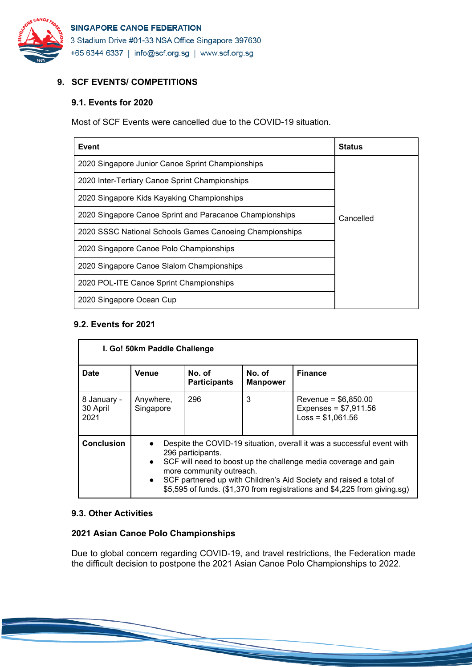

# **9. SCF EVENTS/ COMPETITIONS**

# **9.1. Events for 2020**

Most of SCF Events were cancelled due to the COVID-19 situation.

| Event                                                   | <b>Status</b> |
|---------------------------------------------------------|---------------|
| 2020 Singapore Junior Canoe Sprint Championships        |               |
| 2020 Inter-Tertiary Canoe Sprint Championships          |               |
| 2020 Singapore Kids Kayaking Championships              |               |
| 2020 Singapore Canoe Sprint and Paracanoe Championships | Cancelled     |
| 2020 SSSC National Schools Games Canoeing Championships |               |
| 2020 Singapore Canoe Polo Championships                 |               |
| 2020 Singapore Canoe Slalom Championships               |               |
| 2020 POL-ITE Canoe Sprint Championships                 |               |
| 2020 Singapore Ocean Cup                                |               |

# **9.2. Events for 2021**

| I. Go! 50km Paddle Challenge    |                                                                                                                                                                                                                                                                                                                                                                         |                               |                           |                                                                       |  |  |
|---------------------------------|-------------------------------------------------------------------------------------------------------------------------------------------------------------------------------------------------------------------------------------------------------------------------------------------------------------------------------------------------------------------------|-------------------------------|---------------------------|-----------------------------------------------------------------------|--|--|
| <b>Date</b>                     | Venue                                                                                                                                                                                                                                                                                                                                                                   | No. of<br><b>Participants</b> | No. of<br><b>Manpower</b> | <b>Finance</b>                                                        |  |  |
| 8 January -<br>30 April<br>2021 | Anywhere,<br>Singapore                                                                                                                                                                                                                                                                                                                                                  | 296                           | 3                         | Revenue = $$6,850.00$<br>Expenses = $$7,911.56$<br>$Loss = $1,061.56$ |  |  |
| <b>Conclusion</b>               | Despite the COVID-19 situation, overall it was a successful event with<br>296 participants.<br>SCF will need to boost up the challenge media coverage and gain<br>$\bullet$<br>more community outreach.<br>SCF partnered up with Children's Aid Society and raised a total of<br>$\bullet$<br>\$5,595 of funds. (\$1,370 from registrations and \$4,225 from giving.sg) |                               |                           |                                                                       |  |  |

#### **9.3. Other Activities**

# **2021 Asian Canoe Polo Championships**

Due to global concern regarding COVID-19, and travel restrictions, the Federation made the difficult decision to postpone the 2021 Asian Canoe Polo Championships to 2022.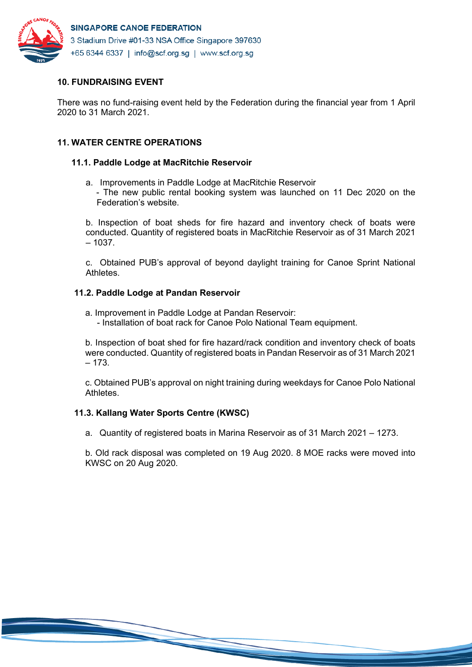

# **10. FUNDRAISING EVENT**

There was no fund-raising event held by the Federation during the financial year from 1 April 2020 to 31 March 2021.

# **11. WATER CENTRE OPERATIONS**

# **11.1. Paddle Lodge at MacRitchie Reservoir**

a. Improvements in Paddle Lodge at MacRitchie Reservoir - The new public rental booking system was launched on 11 Dec 2020 on the Federation's website.

b. Inspection of boat sheds for fire hazard and inventory check of boats were conducted. Quantity of registered boats in MacRitchie Reservoir as of 31 March 2021  $-1037.$ 

c. Obtained PUB's approval of beyond daylight training for Canoe Sprint National Athletes.

# **11.2. Paddle Lodge at Pandan Reservoir**

- a. Improvement in Paddle Lodge at Pandan Reservoir:
	- Installation of boat rack for Canoe Polo National Team equipment.

b. Inspection of boat shed for fire hazard/rack condition and inventory check of boats were conducted. Quantity of registered boats in Pandan Reservoir as of 31 March 2021 – 173.

c. Obtained PUB's approval on night training during weekdays for Canoe Polo National Athletes.

#### **11.3. Kallang Water Sports Centre (KWSC)**

a. Quantity of registered boats in Marina Reservoir as of 31 March 2021 – 1273.

b. Old rack disposal was completed on 19 Aug 2020. 8 MOE racks were moved into KWSC on 20 Aug 2020.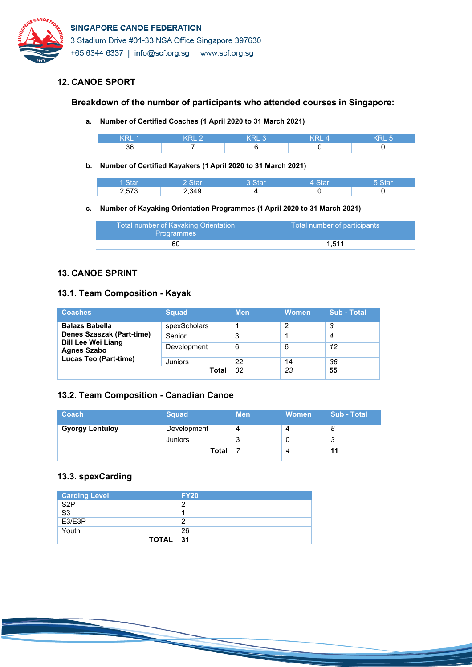

# **12. CANOE SPORT**

# **Breakdown of the number of participants who attended courses in Singapore:**

**a. Number of Certified Coaches (1 April 2020 to 31 March 2021)**

| . .<br>oι |  |  |
|-----------|--|--|

**b. Number of Certified Kayakers (1 April 2020 to 31 March 2021)**

|                       | - 12  |  |  |
|-----------------------|-------|--|--|
| $-$ , $\sim$ , $\sim$ | 2 349 |  |  |

#### **c. Number of Kayaking Orientation Programmes (1 April 2020 to 31 March 2021)**

| Total number of Kayaking Orientation<br><b>Programmes</b> | Total number of participants |
|-----------------------------------------------------------|------------------------------|
| 60                                                        | 1.511                        |

# **13. CANOE SPRINT**

# **13.1. Team Composition - Kayak**

| <b>Coaches</b>                                  | <b>Squad</b> | <b>Men</b> | <b>Women</b> | Sub - Total |
|-------------------------------------------------|--------------|------------|--------------|-------------|
| <b>Balazs Babella</b>                           | spexScholars |            |              | 3           |
| Denes Szaszak (Part-time)                       | Senior       | 3          |              | 4           |
| <b>Bill Lee Wei Liang</b><br><b>Agnes Szabo</b> | Development  | 6          | 6            | 12          |
| <b>Lucas Teo (Part-time)</b>                    | Juniors      | 22         | 14           | 36          |
|                                                 | Total        | 32         | 23           | 55          |

# **13.2. Team Composition - Canadian Canoe**

| <b>Coach</b>           | <b>Squad</b> | <b>Men</b> | <b>Women</b> | <b>Sub - Total</b> |
|------------------------|--------------|------------|--------------|--------------------|
| <b>Gyorgy Lentuloy</b> | Development  | 4          |              |                    |
|                        | Juniors      | u          |              | 3                  |
|                        | <b>Total</b> |            |              | 11                 |

# **13.3. spexCarding**

| <b>Carding Level</b>   | <b>FY20</b> |
|------------------------|-------------|
| S <sub>2</sub> P       | n           |
| $\overline{\text{S3}}$ |             |
| E3/E3P                 | n           |
| Youth                  | 26          |
| TOTAL                  | - 31        |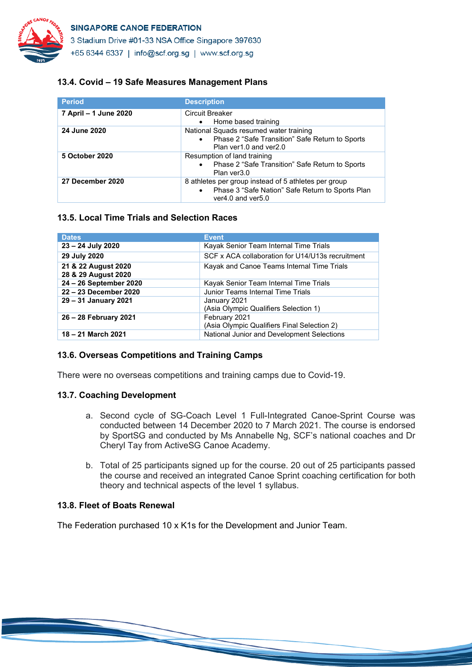

3 Stadium Drive #01-33 NSA Office Singapore 397630

+65 6344 6337 | info@scf.org.sg | www.scf.org.sg

## **13.4. Covid – 19 Safe Measures Management Plans**

| <b>Period</b>         | <b>Description</b>                                                                                                                               |
|-----------------------|--------------------------------------------------------------------------------------------------------------------------------------------------|
| 7 April – 1 June 2020 | Circuit Breaker<br>Home based training<br>$\bullet$                                                                                              |
| 24 June 2020          | National Squads resumed water training<br>Phase 2 "Safe Transition" Safe Return to Sports<br>$\bullet$<br>Plan yer1.0 and yer2.0                 |
| 5 October 2020        | Resumption of land training<br>Phase 2 "Safe Transition" Safe Return to Sports<br>$\bullet$<br>Plan ver3.0                                       |
| 27 December 2020      | 8 athletes per group instead of 5 athletes per group<br>Phase 3 "Safe Nation" Safe Return to Sports Plan<br>$\bullet$<br>ver $4.0$ and ver $5.0$ |

#### **13.5. Local Time Trials and Selection Races**

| <b>Dates</b>                               | <b>Event</b>                                                 |
|--------------------------------------------|--------------------------------------------------------------|
| 23 - 24 July 2020                          | Kayak Senior Team Internal Time Trials                       |
| 29 July 2020                               | SCF x ACA collaboration for U14/U13s recruitment             |
| 21 & 22 August 2020<br>28 & 29 August 2020 | Kayak and Canoe Teams Internal Time Trials                   |
| 24 - 26 September 2020                     | Kayak Senior Team Internal Time Trials                       |
| 22 - 23 December 2020                      | Junior Teams Internal Time Trials                            |
| 29 - 31 January 2021                       | January 2021<br>(Asia Olympic Qualifiers Selection 1)        |
| 26 - 28 February 2021                      | February 2021<br>(Asia Olympic Qualifiers Final Selection 2) |
| 18 – 21 March 2021                         | National Junior and Development Selections                   |

#### **13.6. Overseas Competitions and Training Camps**

There were no overseas competitions and training camps due to Covid-19.

#### **13.7. Coaching Development**

- a. Second cycle of SG-Coach Level 1 Full-Integrated Canoe-Sprint Course was conducted between 14 December 2020 to 7 March 2021. The course is endorsed by SportSG and conducted by Ms Annabelle Ng, SCF's national coaches and Dr Cheryl Tay from ActiveSG Canoe Academy.
- b. Total of 25 participants signed up for the course. 20 out of 25 participants passed the course and received an integrated Canoe Sprint coaching certification for both theory and technical aspects of the level 1 syllabus.

#### **13.8. Fleet of Boats Renewal**

The Federation purchased 10 x K1s for the Development and Junior Team.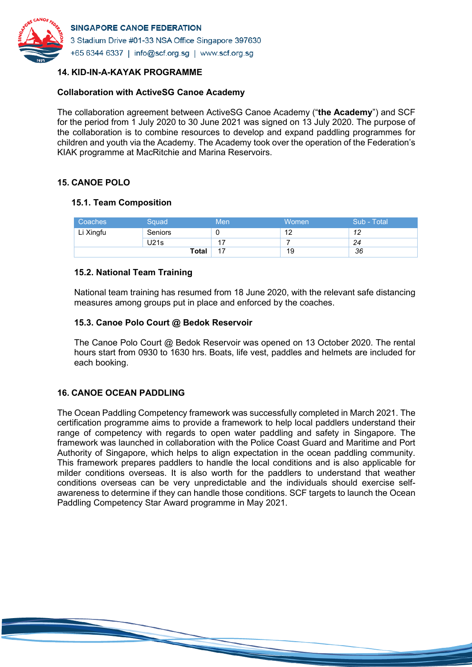

# **14. KID-IN-A-KAYAK PROGRAMME**

## **Collaboration with ActiveSG Canoe Academy**

The collaboration agreement between ActiveSG Canoe Academy ("**the Academy**") and SCF for the period from 1 July 2020 to 30 June 2021 was signed on 13 July 2020. The purpose of the collaboration is to combine resources to develop and expand paddling programmes for children and youth via the Academy. The Academy took over the operation of the Federation's KIAK programme at MacRitchie and Marina Reservoirs.

# **15. CANOE POLO**

# **15.1. Team Composition**

| Coaches   | Squad        | Men | Women | Sub - Total |
|-----------|--------------|-----|-------|-------------|
| Li Xingfu | Seniors      |     | 12    | 12          |
|           | U21s         | 17  |       | 24          |
|           | <b>Total</b> | 17  | 19    | 36          |

# **15.2. National Team Training**

National team training has resumed from 18 June 2020, with the relevant safe distancing measures among groups put in place and enforced by the coaches.

# **15.3. Canoe Polo Court @ Bedok Reservoir**

The Canoe Polo Court @ Bedok Reservoir was opened on 13 October 2020. The rental hours start from 0930 to 1630 hrs. Boats, life vest, paddles and helmets are included for each booking.

# **16. CANOE OCEAN PADDLING**

The Ocean Paddling Competency framework was successfully completed in March 2021. The certification programme aims to provide a framework to help local paddlers understand their range of competency with regards to open water paddling and safety in Singapore. The framework was launched in collaboration with the Police Coast Guard and Maritime and Port Authority of Singapore, which helps to align expectation in the ocean paddling community. This framework prepares paddlers to handle the local conditions and is also applicable for milder conditions overseas. It is also worth for the paddlers to understand that weather conditions overseas can be very unpredictable and the individuals should exercise selfawareness to determine if they can handle those conditions. SCF targets to launch the Ocean Paddling Competency Star Award programme in May 2021.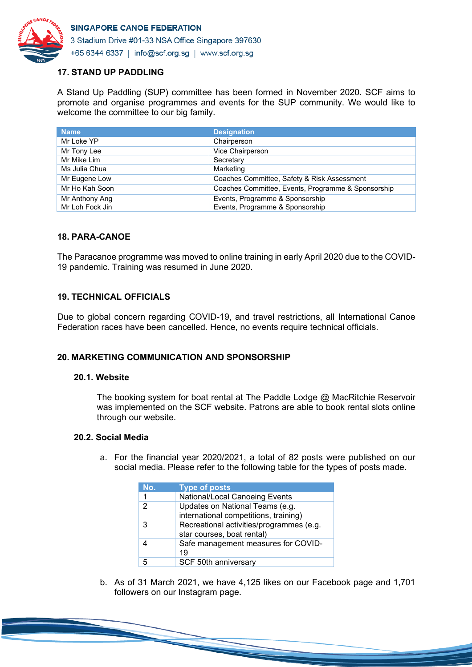

# **17. STAND UP PADDLING**

A Stand Up Paddling (SUP) committee has been formed in November 2020. SCF aims to promote and organise programmes and events for the SUP community. We would like to welcome the committee to our big family.

| <b>Name</b>     | <b>Designation</b>                                 |
|-----------------|----------------------------------------------------|
| Mr Loke YP      | Chairperson                                        |
| Mr Tony Lee     | Vice Chairperson                                   |
| Mr Mike Lim     | Secretary                                          |
| Ms Julia Chua   | Marketing                                          |
| Mr Eugene Low   | Coaches Committee, Safety & Risk Assessment        |
| Mr Ho Kah Soon  | Coaches Committee, Events, Programme & Sponsorship |
| Mr Anthony Ang  | Events, Programme & Sponsorship                    |
| Mr Loh Fock Jin | Events, Programme & Sponsorship                    |

#### **18. PARA-CANOE**

The Paracanoe programme was moved to online training in early April 2020 due to the COVID-19 pandemic. Training was resumed in June 2020.

#### **19. TECHNICAL OFFICIALS**

Due to global concern regarding COVID-19, and travel restrictions, all International Canoe Federation races have been cancelled. Hence, no events require technical officials.

#### **20. MARKETING COMMUNICATION AND SPONSORSHIP**

#### **20.1. Website**

The booking system for boat rental at The Paddle Lodge @ MacRitchie Reservoir was implemented on the SCF website. Patrons are able to book rental slots online through our website.

#### **20.2. Social Media**

a. For the financial year 2020/2021, a total of 82 posts were published on our social media. Please refer to the following table for the types of posts made.

| No. | <b>Type of posts</b>                     |
|-----|------------------------------------------|
| 1   | National/Local Canoeing Events           |
| 2   | Updates on National Teams (e.g.          |
|     | international competitions, training)    |
| 3   | Recreational activities/programmes (e.g. |
|     | star courses, boat rental)               |
|     | Safe management measures for COVID-      |
|     | 19                                       |
|     | SCF 50th anniversary                     |

b. As of 31 March 2021, we have 4,125 likes on our Facebook page and 1,701 followers on our Instagram page.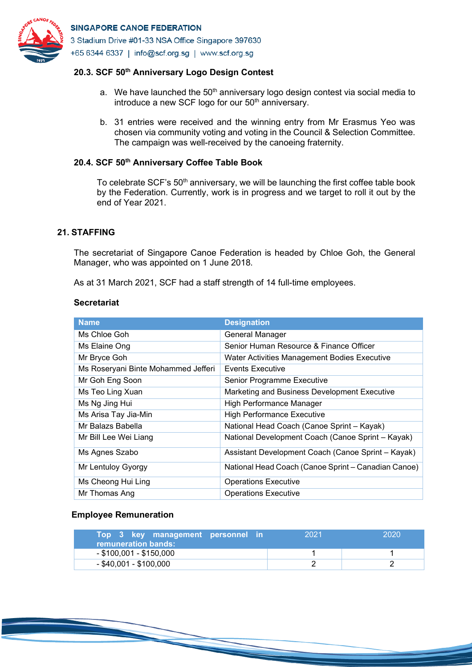

# **20.3. SCF 50th Anniversary Logo Design Contest**

- a. We have launched the  $50<sup>th</sup>$  anniversary logo design contest via social media to introduce a new SCF logo for our 50<sup>th</sup> anniversary.
- b. 31 entries were received and the winning entry from Mr Erasmus Yeo was chosen via community voting and voting in the Council & Selection Committee. The campaign was well-received by the canoeing fraternity.

# **20.4. SCF 50th Anniversary Coffee Table Book**

To celebrate SCF's 50<sup>th</sup> anniversary, we will be launching the first coffee table book by the Federation. Currently, work is in progress and we target to roll it out by the end of Year 2021.

#### **21. STAFFING**

The secretariat of Singapore Canoe Federation is headed by Chloe Goh, the General Manager, who was appointed on 1 June 2018.

As at 31 March 2021, SCF had a staff strength of 14 full-time employees.

#### **Secretariat**

| <b>Name</b>                         | <b>Designation</b>                                  |
|-------------------------------------|-----------------------------------------------------|
| Ms Chloe Goh                        | General Manager                                     |
| Ms Elaine Ong                       | Senior Human Resource & Finance Officer             |
| Mr Bryce Goh                        | <b>Water Activities Management Bodies Executive</b> |
| Ms Roseryani Binte Mohammed Jefferi | Events Executive                                    |
| Mr Goh Eng Soon                     | Senior Programme Executive                          |
| Ms Teo Ling Xuan                    | Marketing and Business Development Executive        |
| Ms Ng Jing Hui                      | High Performance Manager                            |
| Ms Arisa Tay Jia-Min                | <b>High Performance Executive</b>                   |
| Mr Balazs Babella                   | National Head Coach (Canoe Sprint - Kayak)          |
| Mr Bill Lee Wei Liang               | National Development Coach (Canoe Sprint - Kayak)   |
| Ms Agnes Szabo                      | Assistant Development Coach (Canoe Sprint - Kayak)  |
| Mr Lentuloy Gyorgy                  | National Head Coach (Canoe Sprint - Canadian Canoe) |
| Ms Cheong Hui Ling                  | <b>Operations Executive</b>                         |
| Mr Thomas Ang                       | <b>Operations Executive</b>                         |

#### **Employee Remuneration**

| Top 3 key management personnel in<br>remuneration bands: | 2021 | 2020 |
|----------------------------------------------------------|------|------|
| $-$ \$100,001 - \$150,000                                |      |      |
| $-$ \$40,001 - \$100,000                                 |      |      |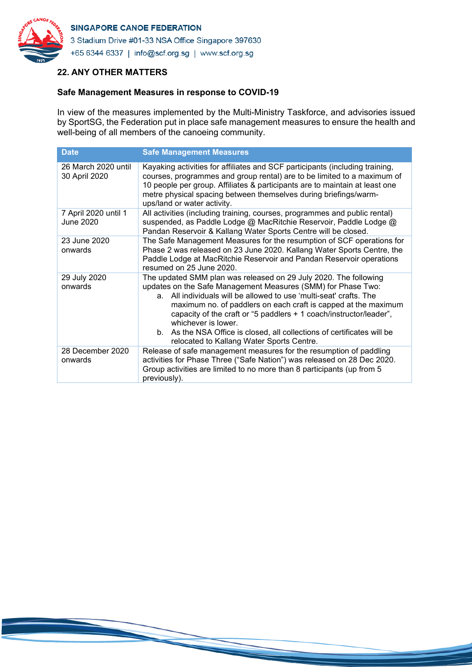

# **22. ANY OTHER MATTERS**

#### **Safe Management Measures in response to COVID-19**

In view of the measures implemented by the Multi-Ministry Taskforce, and advisories issued by SportSG, the Federation put in place safe management measures to ensure the health and well-being of all members of the canoeing community.

| <b>Date</b>                          | <b>Safe Management Measures</b>                                                                                                                                                                                                                                                                                                                                                                                                                                                               |
|--------------------------------------|-----------------------------------------------------------------------------------------------------------------------------------------------------------------------------------------------------------------------------------------------------------------------------------------------------------------------------------------------------------------------------------------------------------------------------------------------------------------------------------------------|
| 26 March 2020 until<br>30 April 2020 | Kayaking activities for affiliates and SCF participants (including training,<br>courses, programmes and group rental) are to be limited to a maximum of<br>10 people per group. Affiliates & participants are to maintain at least one<br>metre physical spacing between themselves during briefings/warm-<br>ups/land or water activity.                                                                                                                                                     |
| 7 April 2020 until 1<br>June 2020    | All activities (including training, courses, programmes and public rental)<br>suspended, as Paddle Lodge @ MacRitchie Reservoir, Paddle Lodge @<br>Pandan Reservoir & Kallang Water Sports Centre will be closed.                                                                                                                                                                                                                                                                             |
| 23 June 2020<br>onwards              | The Safe Management Measures for the resumption of SCF operations for<br>Phase 2 was released on 23 June 2020. Kallang Water Sports Centre, the<br>Paddle Lodge at MacRitchie Reservoir and Pandan Reservoir operations<br>resumed on 25 June 2020.                                                                                                                                                                                                                                           |
| 29 July 2020<br>onwards              | The updated SMM plan was released on 29 July 2020. The following<br>updates on the Safe Management Measures (SMM) for Phase Two:<br>a. All individuals will be allowed to use 'multi-seat' crafts. The<br>maximum no. of paddlers on each craft is capped at the maximum<br>capacity of the craft or "5 paddlers + 1 coach/instructor/leader",<br>whichever is lower.<br>b. As the NSA Office is closed, all collections of certificates will be<br>relocated to Kallang Water Sports Centre. |
| 28 December 2020<br>onwards          | Release of safe management measures for the resumption of paddling<br>activities for Phase Three ("Safe Nation") was released on 28 Dec 2020.<br>Group activities are limited to no more than 8 participants (up from 5<br>previously).                                                                                                                                                                                                                                                       |